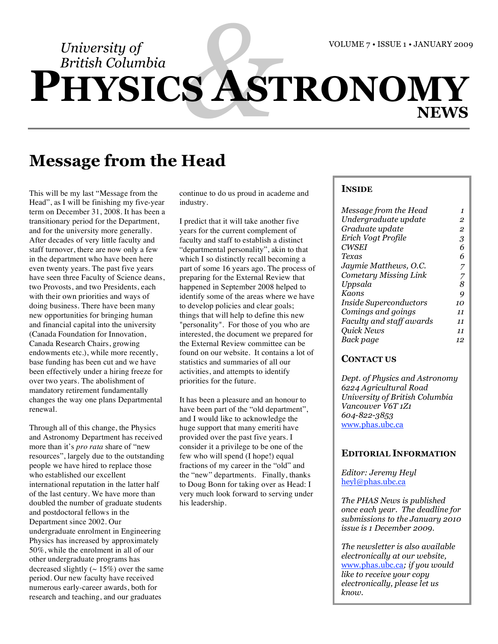*British Columbia*

# *University of*<br>*British Columbia*<br>**HYSICS AS PHYSICS ASTRONOMY NEWS**

## **Message from the Head**

This will be my last "Message from the Head", as I will be finishing my five-year term on December 31, 2008. It has been a transitionary period for the Department, and for the university more generally. After decades of very little faculty and staff turnover, there are now only a few in the department who have been here even twenty years. The past five years have seen three Faculty of Science deans, two Provosts, and two Presidents, each with their own priorities and ways of doing business. There have been many new opportunities for bringing human and financial capital into the university (Canada Foundation for Innovation, Canada Research Chairs, growing endowments etc.), while more recently, base funding has been cut and we have been effectively under a hiring freeze for over two years. The abolishment of mandatory retirement fundamentally changes the way one plans Departmental renewal.

Through all of this change, the Physics and Astronomy Department has received more than it's *pro rata* share of "new resources", largely due to the outstanding people we have hired to replace those who established our excellent international reputation in the latter half of the last century. We have more than doubled the number of graduate students and postdoctoral fellows in the Department since 2002. Our undergraduate enrolment in Engineering Physics has increased by approximately 50%, while the enrolment in all of our other undergraduate programs has decreased slightly  $({\sim 15\%})$  over the same period. Our new faculty have received numerous early-career awards, both for research and teaching, and our graduates

continue to do us proud in academe and industry.

I predict that it will take another five years for the current complement of faculty and staff to establish a distinct "departmental personality", akin to that which I so distinctly recall becoming a part of some 16 years ago. The process of preparing for the External Review that happened in September 2008 helped to identify some of the areas where we have to develop policies and clear goals; things that will help to define this new "personality". For those of you who are interested, the document we prepared for the External Review committee can be found on our website. It contains a lot of statistics and summaries of all our activities, and attempts to identify priorities for the future.

It has been a pleasure and an honour to have been part of the "old department", and I would like to acknowledge the huge support that many emeriti have provided over the past five years. I consider it a privilege to be one of the few who will spend (I hope!) equal fractions of my career in the "old" and the "new" departments. Finally, thanks to Doug Bonn for taking over as Head: I very much look forward to serving under his leadership.

#### **INSIDE**

| Message from the Head         | 1  |
|-------------------------------|----|
| Undergraduate update          | 2  |
| Graduate update               | 2  |
| Erich Vogt Profile            | 3  |
| <b>CWSEI</b>                  | 6  |
| Texas                         | 6  |
| Jaymie Matthews, O.C.         |    |
| Cometary Missing Link         | 7  |
| Uppsala                       | 8  |
| Kaons                         | 9  |
| <i>Inside Superconductors</i> | 10 |
| Comings and goings            | 11 |
| Faculty and staff awards      | 11 |
| Quick News                    | 11 |
| Back page                     | 12 |
|                               |    |

#### **CONTACT US**

*Dept. of Physics and Astronomy 6224 Agricultural Road University of British Columbia Vancouver V6T 1Z1 604-822-3853* www.phas.ubc.ca

#### **EDITORIAL INFORMATION**

*Editor: Jeremy Heyl* heyl@phas.ubc.ca

*The PHAS News is published once each year. The deadline for submissions to the January 2010 issue is 1 December 2009.*

*The newsletter is also available electronically at our website,*  www.phas.ubc.ca*; if you would like to receive your copy electronically, please let us know.*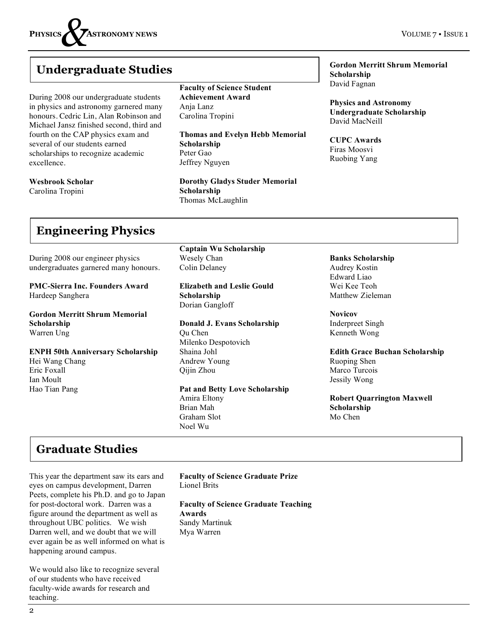

## **Undergraduate Studies**

During 2008 our undergraduate students in physics and astronomy garnered many honours. Cedric Lin, Alan Robinson and Michael Jansz finished second, third and fourth on the CAP physics exam and several of our students earned scholarships to recognize academic excellence.

**Wesbrook Scholar**

Carolina Tropini

#### **Faculty of Science Student Achievement Award** Anja Lanz Carolina Tropini

**Thomas and Evelyn Hebb Memorial Scholarship** Peter Gao Jeffrey Nguyen

**Dorothy Gladys Studer Memorial Scholarship** Thomas McLaughlin

**Gordon Merritt Shrum Memorial Scholarship** David Fagnan

**Physics and Astronomy Undergraduate Scholarship** David MacNeill

**CUPC Awards** Firas Moosvi Ruobing Yang

## **Engineering Physics**

During 2008 our engineer physics undergraduates garnered many honours.

**PMC-Sierra Inc. Founders Award** Hardeep Sanghera

**Gordon Merritt Shrum Memorial Scholarship** Warren Ung

**ENPH 50th Anniversary Scholarship** Hei Wang Chang Eric Foxall Ian Moult Hao Tian Pang

**Captain Wu Scholarship** Wesely Chan Colin Delaney

**Elizabeth and Leslie Gould Scholarship** Dorian Gangloff

**Donald J. Evans Scholarship** Qu Chen Milenko Despotovich Shaina Johl Andrew Young Qijin Zhou

**Pat and Betty Love Scholarship** Amira Eltony Brian Mah Graham Slot Noel Wu

**Banks Scholarship** Audrey Kostin Edward Liao Wei Kee Teoh Matthew Zieleman

**Novicov** Inderpreet Singh Kenneth Wong

**Edith Grace Buchan Scholarship** Ruoping Shen Marco Turcois Jessily Wong

**Robert Quarrington Maxwell Scholarship** Mo Chen

## **Graduate Studies**

This year the department saw its ears and eyes on campus development, Darren Peets, complete his Ph.D. and go to Japan for post-doctoral work. Darren was a figure around the department as well as throughout UBC politics. We wish Darren well, and we doubt that we will ever again be as well informed on what is happening around campus.

We would also like to recognize several of our students who have received faculty-wide awards for research and teaching.

**Faculty of Science Graduate Prize** Lionel Brits

**Faculty of Science Graduate Teaching Awards**  Sandy Martinuk Mya Warren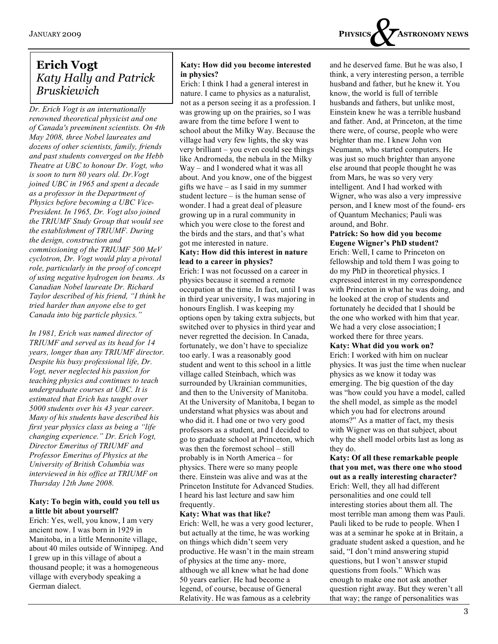

## **Erich Vogt** *Katy Hally and Patrick Bruskiewich*

*Dr. Erich Vogt is an internationally renowned theoretical physicist and one of Canada's preeminent scientists. On 4th May 2008, three Nobel laureates and dozens of other scientists, family, friends and past students converged on the Hebb Theatre at UBC to honour Dr. Vogt, who is soon to turn 80 years old. Dr.Vogt joined UBC in 1965 and spent a decade as a professor in the Department of Physics before becoming a UBC Vice-President. In 1965, Dr. Vogt also joined the TRIUMF Study Group that would see the establishment of TRIUMF. During the design, construction and commissioning of the TRIUMF 500 MeV cyclotron, Dr. Vogt would play a pivotal role, particularly in the proof of concept of using negative hydrogen ion beams. As Canadian Nobel laureate Dr. Richard Taylor described of his friend, "I think he tried harder than anyone else to get Canada into big particle physics."* 

*In 1981, Erich was named director of TRIUMF and served as its head for 14 years, longer than any TRIUMF director. Despite his busy professional life, Dr. Vogt, never neglected his passion for teaching physics and continues to teach undergraduate courses at UBC. It is estimated that Erich has taught over 5000 students over his 43 year career. Many of his students have described his first year physics class as being a "life changing experience." Dr. Erich Vogt, Director Emeritus of TRIUMF and Professor Emeritus of Physics at the University of British Columbia was interviewed in his office at TRIUMF on Thursday 12th June 2008.*

#### **Katy: To begin with, could you tell us a little bit about yourself?**

Erich: Yes, well, you know, I am very ancient now. I was born in 1929 in Manitoba, in a little Mennonite village, about 40 miles outside of Winnipeg. And I grew up in this village of about a thousand people; it was a homogeneous village with everybody speaking a German dialect.

#### **Katy: How did you become interested in physics?**

Erich: I think I had a general interest in nature. I came to physics as a naturalist, not as a person seeing it as a profession. I was growing up on the prairies, so I was aware from the time before I went to school about the Milky Way. Because the village had very few lights, the sky was very brilliant – you even could see things like Andromeda, the nebula in the Milky Way – and I wondered what it was all about. And you know, one of the biggest gifts we have – as I said in my summer student lecture – is the human sense of wonder. I had a great deal of pleasure growing up in a rural community in which you were close to the forest and the birds and the stars, and that's what got me interested in nature.

#### **Katy: How did this interest in nature lead to a career in physics?**

Erich: I was not focussed on a career in physics because it seemed a remote occupation at the time. In fact, until I was in third year university, I was majoring in honours English. I was keeping my options open by taking extra subjects, but switched over to physics in third year and never regretted the decision. In Canada, fortunately, we don't have to specialize too early. I was a reasonably good student and went to this school in a little village called Steinbach, which was surrounded by Ukrainian communities, and then to the University of Manitoba. At the University of Manitoba, I began to understand what physics was about and who did it. I had one or two very good professors as a student, and I decided to go to graduate school at Princeton, which was then the foremost school – still probably is in North America – for physics. There were so many people there. Einstein was alive and was at the Princeton Institute for Advanced Studies. I heard his last lecture and saw him frequently.

#### **Katy: What was that like?**

Erich: Well, he was a very good lecturer, but actually at the time, he was working on things which didn't seem very productive. He wasn't in the main stream of physics at the time any- more, although we all knew what he had done 50 years earlier. He had become a legend, of course, because of General Relativity. He was famous as a celebrity

and he deserved fame. But he was also, I think, a very interesting person, a terrible husband and father, but he knew it. You know, the world is full of terrible husbands and fathers, but unlike most, Einstein knew he was a terrible husband and father. And, at Princeton, at the time there were, of course, people who were brighter than me. I knew John von Neumann, who started computers. He was just so much brighter than anyone else around that people thought he was from Mars, he was so very very intelligent. And I had worked with Wigner, who was also a very impressive person, and I knew most of the found- ers of Quantum Mechanics; Pauli was around, and Bohr.

#### **Patrick: So how did you become Eugene Wigner's PhD student?**

Erich: Well, I came to Princeton on fellowship and told them I was going to do my PhD in theoretical physics. I expressed interest in my correspondence with Princeton in what he was doing, and he looked at the crop of students and fortunately he decided that I should be the one who worked with him that year. We had a very close association; I worked there for three years.

#### **Katy: What did you work on?**

Erich: I worked with him on nuclear physics. It was just the time when nuclear physics as we know it today was emerging. The big question of the day was "how could you have a model, called the shell model, as simple as the model which you had for electrons around atoms?" As a matter of fact, my thesis with Wigner was on that subject, about why the shell model orbits last as long as they do.

#### **Katy: Of all these remarkable people that you met, was there one who stood out as a really interesting character?**  Erich: Well, they all had different personalities and one could tell interesting stories about them all. The most terrible man among them was Pauli.

Pauli liked to be rude to people. When I was at a seminar he spoke at in Britain, a graduate student asked a question, and he said, "I don't mind answering stupid questions, but I won't answer stupid questions from fools." Which was enough to make one not ask another question right away. But they weren't all that way; the range of personalities was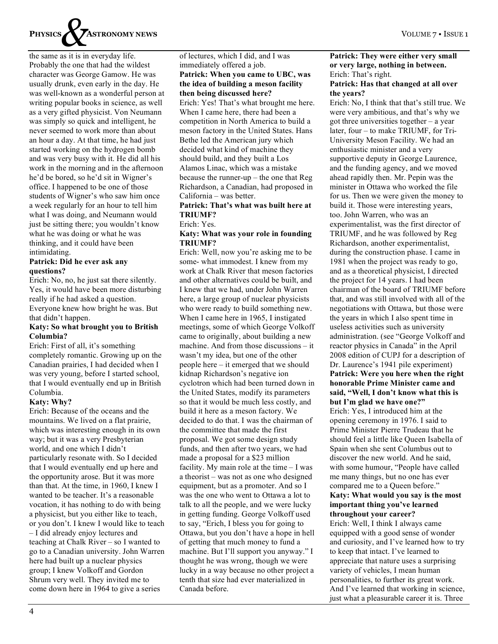

the same as it is in everyday life. Probably the one that had the wildest character was George Gamow. He was usually drunk, even early in the day. He was well-known as a wonderful person at writing popular books in science, as well as a very gifted physicist. Von Neumann was simply so quick and intelligent, he never seemed to work more than about an hour a day. At that time, he had just started working on the hydrogen bomb and was very busy with it. He did all his work in the morning and in the afternoon he'd be bored, so he'd sit in Wigner's office. I happened to be one of those students of Wigner's who saw him once a week regularly for an hour to tell him what I was doing, and Neumann would just be sitting there; you wouldn't know what he was doing or what he was thinking, and it could have been intimidating.

#### **Patrick: Did he ever ask any questions?**

Erich: No, no, he just sat there silently. Yes, it would have been more disturbing really if he had asked a question. Everyone knew how bright he was. But that didn't happen.

#### **Katy: So what brought you to British Columbia?**

Erich: First of all, it's something completely romantic. Growing up on the Canadian prairies, I had decided when I was very young, before I started school, that I would eventually end up in British Columbia.

#### **Katy: Why?**

Erich: Because of the oceans and the mountains. We lived on a flat prairie, which was interesting enough in its own way; but it was a very Presbyterian world, and one which I didn't particularly resonate with. So I decided that I would eventually end up here and the opportunity arose. But it was more than that. At the time, in 1960, I knew I wanted to be teacher. It's a reasonable vocation, it has nothing to do with being a physicist, but you either like to teach, or you don't. I knew I would like to teach – I did already enjoy lectures and teaching at Chalk River – so I wanted to go to a Canadian university. John Warren here had built up a nuclear physics group; I knew Volkoff and Gordon Shrum very well. They invited me to come down here in 1964 to give a series

#### of lectures, which I did, and I was immediately offered a job. **Patrick: When you came to UBC, was the idea of building a meson facility then being discussed here?**

Erich: Yes! That's what brought me here. When I came here, there had been a competition in North America to build a meson factory in the United States. Hans Bethe led the American jury which decided what kind of machine they should build, and they built a Los Alamos Linac, which was a mistake because the runner-up – the one that Reg Richardson, a Canadian, had proposed in California – was better.

#### **Patrick: That's what was built here at TRIUMF?**

Erich: Yes.

#### **Katy: What was your role in founding TRIUMF?**

Erich: Well, now you're asking me to be some- what immodest. I knew from my work at Chalk River that meson factories and other alternatives could be built, and I knew that we had, under John Warren here, a large group of nuclear physicists who were ready to build something new. When I came here in 1965, I instigated meetings, some of which George Volkoff came to originally, about building a new machine. And from those discussions – it wasn't my idea, but one of the other people here – it emerged that we should kidnap Richardson's negative ion cyclotron which had been turned down in the United States, modify its parameters so that it would be much less costly, and build it here as a meson factory. We decided to do that. I was the chairman of the committee that made the first proposal. We got some design study funds, and then after two years, we had made a proposal for a \$23 million facility. My main role at the time – I was a theorist – was not as one who designed equipment, but as a promoter. And so I was the one who went to Ottawa a lot to talk to all the people, and we were lucky in getting funding. George Volkoff used to say, "Erich, I bless you for going to Ottawa, but you don't have a hope in hell of getting that much money to fund a machine. But I'll support you anyway." I thought he was wrong, though we were lucky in a way because no other project a tenth that size had ever materialized in Canada before.

### **Patrick: They were either very small or very large, nothing in between.**  Erich: That's right.

#### **Patrick: Has that changed at all over the years?**

Erich: No, I think that that's still true. We were very ambitious, and that's why we got three universities together – a year later, four – to make TRIUMF, for Tri-University Meson Facility. We had an enthusiastic minister and a very supportive deputy in George Laurence, and the funding agency, and we moved ahead rapidly then. Mr. Pepin was the minister in Ottawa who worked the file for us. Then we were given the money to build it. Those were interesting years, too. John Warren, who was an experimentalist, was the first director of TRIUMF, and he was followed by Reg Richardson, another experimentalist, during the construction phase. I came in 1981 when the project was ready to go, and as a theoretical physicist, I directed the project for 14 years. I had been chairman of the board of TRIUMF before that, and was still involved with all of the negotiations with Ottawa, but those were the years in which I also spent time in useless activities such as university administration. (see "George Volkoff and reactor physics in Canada" in the April 2008 edition of CUPJ for a description of Dr. Laurence's 1941 pile experiment) **Patrick: Were you here when the right honorable Prime Minister came and said, "Well, I don't know what this is but I'm glad we have one?"**  Erich: Yes, I introduced him at the opening ceremony in 1976. I said to Prime Minister Pierre Trudeau that he

should feel a little like Queen Isabella of Spain when she sent Columbus out to discover the new world. And he said, with some humour, "People have called me many things, but no one has ever compared me to a Queen before." **Katy: What would you say is the most important thing you've learned throughout your career?** 

Erich: Well, I think I always came equipped with a good sense of wonder and curiosity, and I've learned how to try to keep that intact. I've learned to appreciate that nature uses a surprising variety of vehicles, I mean human personalities, to further its great work. And I've learned that working in science, just what a pleasurable career it is. Three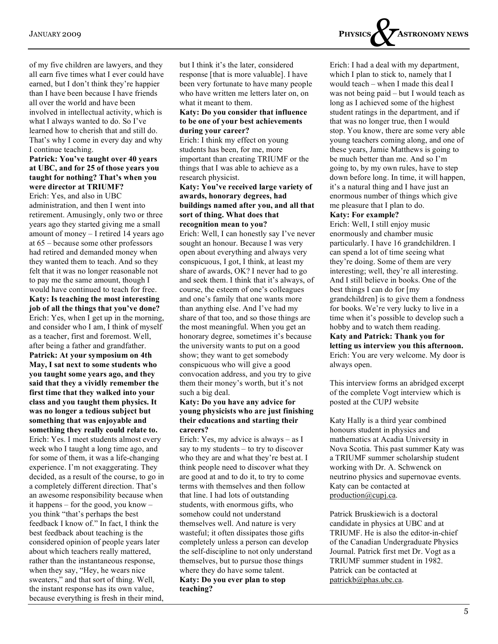of my five children are lawyers, and they all earn five times what I ever could have earned, but I don't think they're happier than I have been because I have friends all over the world and have been involved in intellectual activity, which is what I always wanted to do. So I've learned how to cherish that and still do. That's why I come in every day and why I continue teaching.

#### **Patrick: You've taught over 40 years at UBC, and for 25 of those years you taught for nothing? That's when you were director at TRIUMF?**

Erich: Yes, and also in UBC administration, and then I went into retirement. Amusingly, only two or three years ago they started giving me a small amount of money – I retired 14 years ago at 65 – because some other professors had retired and demanded money when they wanted them to teach. And so they felt that it was no longer reasonable not to pay me the same amount, though I would have continued to teach for free.

**Katy: Is teaching the most interesting job of all the things that you've done?**  Erich: Yes, when I get up in the morning, and consider who I am, I think of myself as a teacher, first and foremost. Well, after being a father and grandfather. **Patrick: At your symposium on 4th May, I sat next to some students who you taught some years ago, and they said that they a vividly remember the first time that they walked into your class and you taught them physics. It was no longer a tedious subject but something that was enjoyable and something they really could relate to.**  Erich: Yes. I meet students almost every week who I taught a long time ago, and for some of them, it was a life-changing experience. I'm not exaggerating. They decided, as a result of the course, to go in a completely different direction. That's an awesome responsibility because when it happens – for the good, you know – you think "that's perhaps the best feedback I know of." In fact, I think the best feedback about teaching is the considered opinion of people years later about which teachers really mattered, rather than the instantaneous response, when they say, "Hey, he wears nice sweaters," and that sort of thing. Well, the instant response has its own value, because everything is fresh in their mind,

but I think it's the later, considered response [that is more valuable]. I have been very fortunate to have many people who have written me letters later on, on what it meant to them.

#### **Katy: Do you consider that influence to be one of your best achievements during your career?**

Erich: I think my effect on young students has been, for me, more important than creating TRIUMF or the things that I was able to achieve as a research physicist.

#### **Katy: You've received large variety of awards, honorary degrees, had buildings named after you, and all that sort of thing. What does that recognition mean to you?**

Erich: Well, I can honestly say I've never sought an honour. Because I was very open about everything and always very conspicuous, I got, I think, at least my share of awards, OK? I never had to go and seek them. I think that it's always, of course, the esteem of one's colleagues and one's family that one wants more than anything else. And I've had my share of that too, and so those things are the most meaningful. When you get an honorary degree, sometimes it's because the university wants to put on a good show; they want to get somebody conspicuous who will give a good convocation address, and you try to give them their money's worth, but it's not such a big deal.

#### **Katy: Do you have any advice for young physicists who are just finishing their educations and starting their careers?**

Erich: Yes, my advice is always – as I say to my students – to try to discover who they are and what they're best at. I think people need to discover what they are good at and to do it, to try to come terms with themselves and then follow that line. I had lots of outstanding students, with enormous gifts, who somehow could not understand themselves well. And nature is very wasteful; it often dissipates those gifts completely unless a person can develop the self-discipline to not only understand themselves, but to pursue those things where they do have some talent. **Katy: Do you ever plan to stop teaching?** 



Erich: I had a deal with my department, which I plan to stick to, namely that I would teach – when I made this deal I was not being paid – but I would teach as long as I achieved some of the highest student ratings in the department, and if that was no longer true, then I would stop. You know, there are some very able young teachers coming along, and one of these years, Jamie Matthews is going to be much better than me. And so I'm going to, by my own rules, have to step down before long. In time, it will happen, it's a natural thing and I have just an enormous number of things which give me pleasure that I plan to do.

#### **Katy: For example?**

Erich: Well, I still enjoy music enormously and chamber music particularly. I have 16 grandchildren. I can spend a lot of time seeing what they're doing. Some of them are very interesting; well, they're all interesting. And I still believe in books. One of the best things I can do for [my grandchildren] is to give them a fondness for books. We're very lucky to live in a time when it's possible to develop such a hobby and to watch them reading. **Katy and Patrick: Thank you for letting us interview you this afternoon.**  Erich: You are very welcome. My door is always open.

This interview forms an abridged excerpt of the complete Vogt interview which is posted at the CUPJ website

Katy Hally is a third year combined honours student in physics and mathematics at Acadia University in Nova Scotia. This past summer Katy was a TRIUMF summer scholarship student working with Dr. A. Schwenck on neutrino physics and supernovae events. Katy can be contacted at production@cupj.ca.

Patrick Bruskiewich is a doctoral candidate in physics at UBC and at TRIUMF. He is also the editor-in-chief of the Canadian Undergraduate Physics Journal. Patrick first met Dr. Vogt as a TRIUMF summer student in 1982. Patrick can be contacted at patrickb@phas.ubc.ca.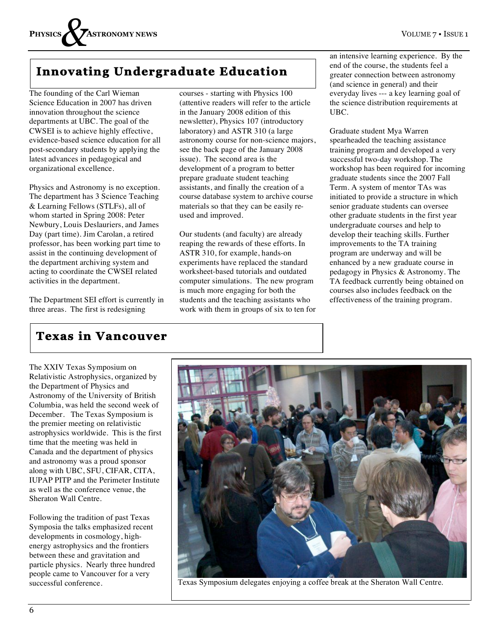## **Innovating Undergraduate Education**

The founding of the Carl Wieman Science Education in 2007 has driven innovation throughout the science departments at UBC. The goal of the CWSEI is to achieve highly effective, evidence-based science education for all post-secondary students by applying the latest advances in pedagogical and organizational excellence.

Physics and Astronomy is no exception. The department has 3 Science Teaching & Learning Fellows (STLFs), all of whom started in Spring 2008: Peter Newbury, Louis Deslauriers, and James Day (part time). Jim Carolan, a retired professor, has been working part time to assist in the continuing development of the department archiving system and acting to coordinate the CWSEI related activities in the department.

The Department SEI effort is currently in three areas. The first is redesigning

courses - starting with Physics 100 (attentive readers will refer to the article in the January 2008 edition of this newsletter), Physics 107 (introductory laboratory) and ASTR 310 (a large astronomy course for non-science majors, see the back page of the January 2008 issue). The second area is the development of a program to better prepare graduate student teaching assistants, and finally the creation of a course database system to archive course materials so that they can be easily reused and improved.

Our students (and faculty) are already reaping the rewards of these efforts. In ASTR 310, for example, hands-on experiments have replaced the standard worksheet-based tutorials and outdated computer simulations. The new program is much more engaging for both the students and the teaching assistants who work with them in groups of six to ten for an intensive learning experience. By the end of the course, the students feel a greater connection between astronomy (and science in general) and their everyday lives --- a key learning goal of the science distribution requirements at UBC.

Graduate student Mya Warren spearheaded the teaching assistance training program and developed a very successful two-day workshop. The workshop has been required for incoming graduate students since the 2007 Fall Term. A system of mentor TAs was initiated to provide a structure in which senior graduate students can oversee other graduate students in the first year undergraduate courses and help to develop their teaching skills. Further improvements to the TA training program are underway and will be enhanced by a new graduate course in pedagogy in Physics & Astronomy. The TA feedback currently being obtained on courses also includes feedback on the effectiveness of the training program.

## **Texas in Vancouver**

The XXIV Texas Symposium on Relativistic Astrophysics, organized by the Department of Physics and Astronomy of the University of British Columbia, was held the second week of December. The Texas Symposium is the premier meeting on relativistic astrophysics worldwide. This is the first time that the meeting was held in Canada and the department of physics and astronomy was a proud sponsor along with UBC, SFU, CIFAR, CITA, IUPAP PITP and the Perimeter Institute as well as the conference venue, the Sheraton Wall Centre.

Following the tradition of past Texas Symposia the talks emphasized recent developments in cosmology, highenergy astrophysics and the frontiers between these and gravitation and particle physics. Nearly three hundred people came to Vancouver for a very



successful conference. The Texas Symposium delegates enjoying a coffee break at the Sheraton Wall Centre.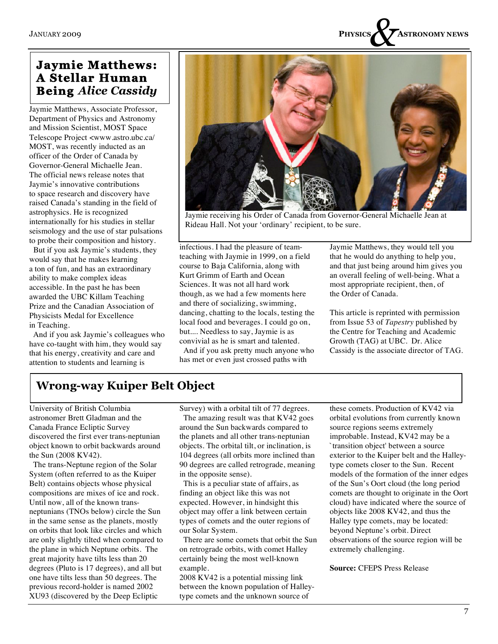

## **Jaymie Matthews: A Stellar Human Being** *Alice Cassidy*

Jaymie Matthews, Associate Professor, Department of Physics and Astronomy and Mission Scientist, MOST Space Telescope Project <www.astro.ubc.ca/ MOST, was recently inducted as an officer of the Order of Canada by Governor-General Michaelle Jean. The official news release notes that Jaymie's innovative contributions to space research and discovery have raised Canada's standing in the field of astrophysics. He is recognized internationally for his studies in stellar seismology and the use of star pulsations to probe their composition and history.

 But if you ask Jaymie's students, they would say that he makes learning a ton of fun, and has an extraordinary ability to make complex ideas accessible. In the past he has been awarded the UBC Killam Teaching Prize and the Canadian Association of Physicists Medal for Excellence in Teaching.

 And if you ask Jaymie's colleagues who have co-taught with him, they would say that his energy, creativity and care and attention to students and learning is



Jaymie receiving his Order of Canada from Governor-General Michaelle Jean at Rideau Hall. Not your 'ordinary' recipient, to be sure.

infectious. I had the pleasure of teamteaching with Jaymie in 1999, on a field course to Baja California, along with Kurt Grimm of Earth and Ocean Sciences. It was not all hard work though, as we had a few moments here and there of socializing, swimming, dancing, chatting to the locals, testing the local food and beverages. I could go on, but.... Needless to say, Jaymie is as convivial as he is smart and talented.

 And if you ask pretty much anyone who has met or even just crossed paths with

Jaymie Matthews, they would tell you that he would do anything to help you, and that just being around him gives you an overall feeling of well-being. What a most appropriate recipient, then, of the Order of Canada.

This article is reprinted with permission from Issue 53 of *Tapestry* published by the Centre for Teaching and Academic Growth (TAG) at UBC. Dr. Alice Cassidy is the associate director of TAG.

## **Wrong-way Kuiper Belt Object**

University of British Columbia astronomer Brett Gladman and the Canada France Ecliptic Survey discovered the first ever trans-neptunian object known to orbit backwards around the Sun (2008 KV42).

 The trans-Neptune region of the Solar System (often referred to as the Kuiper Belt) contains objects whose physical compositions are mixes of ice and rock. Until now, all of the known transneptunians (TNOs below) circle the Sun in the same sense as the planets, mostly on orbits that look like circles and which are only slightly tilted when compared to the plane in which Neptune orbits. The great majority have tilts less than 20 degrees (Pluto is 17 degrees), and all but one have tilts less than 50 degrees. The previous record-holder is named 2002 XU93 (discovered by the Deep Ecliptic

Survey) with a orbital tilt of 77 degrees.

 The amazing result was that KV42 goes around the Sun backwards compared to the planets and all other trans-neptunian objects. The orbital tilt, or inclination, is 104 degrees (all orbits more inclined than 90 degrees are called retrograde, meaning in the opposite sense).

 This is a peculiar state of affairs, as finding an object like this was not expected. However, in hindsight this object may offer a link between certain types of comets and the outer regions of our Solar System.

 There are some comets that orbit the Sun on retrograde orbits, with comet Halley certainly being the most well-known example.

2008 KV42 is a potential missing link between the known population of Halleytype comets and the unknown source of

these comets. Production of KV42 via orbital evolutions from currently known source regions seems extremely improbable. Instead, KV42 may be a `transition object' between a source exterior to the Kuiper belt and the Halleytype comets closer to the Sun. Recent models of the formation of the inner edges of the Sun's Oort cloud (the long period comets are thought to originate in the Oort cloud) have indicated where the source of objects like 2008 KV42, and thus the Halley type comets, may be located: beyond Neptune's orbit. Direct observations of the source region will be extremely challenging.

**Source:** CFEPS Press Release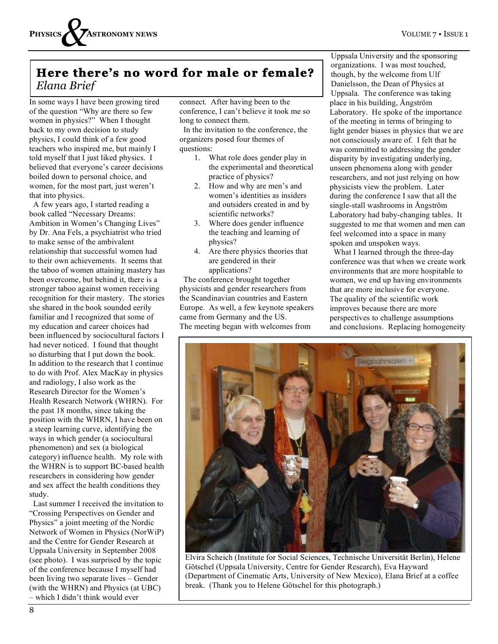## **Here there's no word for male or female?** *Elana Brief*

In some ways I have been growing tired of the question "Why are there so few women in physics?" When I thought back to my own decision to study physics, I could think of a few good teachers who inspired me, but mainly I told myself that I just liked physics. I believed that everyone's career decisions boiled down to personal choice, and women, for the most part, just weren't that into physics.

 A few years ago, I started reading a book called "Necessary Dreams: Ambition in Women's Changing Lives" by Dr. Ana Fels, a psychiatrist who tried to make sense of the ambivalent relationship that successful women had to their own achievements. It seems that the taboo of women attaining mastery has been overcome, but behind it, there is a stronger taboo against women receiving recognition for their mastery. The stories she shared in the book sounded eerily familiar and I recognized that some of my education and career choices had been influenced by sociocultural factors I had never noticed. I found that thought so disturbing that I put down the book. In addition to the research that I continue to do with Prof. Alex MacKay in physics and radiology, I also work as the Research Director for the Women's Health Research Network (WHRN). For the past 18 months, since taking the position with the WHRN, I have been on a steep learning curve, identifying the ways in which gender (a sociocultural phenomenon) and sex (a biological category) influence health. My role with the WHRN is to support BC-based health researchers in considering how gender and sex affect the health conditions they study.

 Last summer I received the invitation to "Crossing Perspectives on Gender and Physics" a joint meeting of the Nordic Network of Women in Physics (NorWiP) and the Centre for Gender Research at Uppsala University in September 2008 (see photo). I was surprised by the topic of the conference because I myself had been living two separate lives – Gender (with the WHRN) and Physics (at UBC) – which I didn't think would ever

connect. After having been to the conference, I can't believe it took me so long to connect them.

 In the invitation to the conference, the organizers posed four themes of questions:

- 1. What role does gender play in the experimental and theoretical practice of physics?
- 2. How and why are men's and women's identities as insiders and outsiders created in and by scientific networks?
- 3. Where does gender influence the teaching and learning of physics?
- 4. Are there physics theories that are gendered in their applications?

 The conference brought together physicists and gender researchers from the Scandinavian countries and Eastern Europe. As well, a few keynote speakers came from Germany and the US. The meeting began with welcomes from

Uppsala University and the sponsoring organizations. I was most touched, though, by the welcome from Ulf Danielsson, the Dean of Physics at Uppsala. The conference was taking place in his building, Ångström Laboratory. He spoke of the importance of the meeting in terms of bringing to light gender biases in physics that we are not consciously aware of. I felt that he was committed to addressing the gender disparity by investigating underlying, unseen phenomena along with gender researchers, and not just relying on how physicists view the problem. Later during the conference I saw that all the single-stall washrooms in Ångström Laboratory had baby-changing tables. It suggested to me that women and men can feel welcomed into a space in many spoken and unspoken ways.

 What I learned through the three-day conference was that when we create work environments that are more hospitable to women, we end up having environments that are more inclusive for everyone. The quality of the scientific work improves because there are more perspectives to challenge assumptions and conclusions. Replacing homogeneity



Elvira Scheich (Institute for Social Sciences, Technische Universität Berlin), Helene Götschel (Uppsala University, Centre for Gender Research), Eva Hayward (Department of Cinematic Arts, University of New Mexico), Elana Brief at a coffee break. (Thank you to Helene Götschel for this photograph.)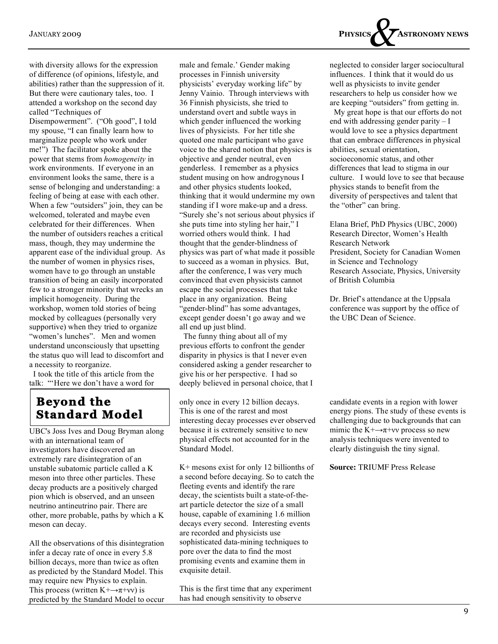with diversity allows for the expression of difference (of opinions, lifestyle, and abilities) rather than the suppression of it. But there were cautionary tales, too. I attended a workshop on the second day called "Techniques of

Disempowerment". ("Oh good", I told my spouse, "I can finally learn how to marginalize people who work under me!") The facilitator spoke about the power that stems from *homogeneity* in work environments. If everyone in an environment looks the same, there is a sense of belonging and understanding: a feeling of being at ease with each other. When a few "outsiders" join, they can be welcomed, tolerated and maybe even celebrated for their differences. When the number of outsiders reaches a critical mass, though, they may undermine the apparent ease of the individual group. As the number of women in physics rises, women have to go through an unstable transition of being an easily incorporated few to a stronger minority that wrecks an implicit homogeneity. During the workshop, women told stories of being mocked by colleagues (personally very supportive) when they tried to organize "women's lunches". Men and women understand unconsciously that upsetting the status quo will lead to discomfort and a necessity to reorganize.

 I took the title of this article from the talk: "'Here we don't have a word for

## **Beyond the Standard Model**

UBC's Joss Ives and Doug Bryman along with an international team of investigators have discovered an extremely rare disintegration of an unstable subatomic particle called a K meson into three other particles. These decay products are a positively charged pion which is observed, and an unseen neutrino antineutrino pair. There are other, more probable, paths by which a K meson can decay.

All the observations of this disintegration infer a decay rate of once in every 5.8 billion decays, more than twice as often as predicted by the Standard Model. This may require new Physics to explain. This process (written  $K^+ \rightarrow \pi^+ \nu \nu$ ) is predicted by the Standard Model to occur male and female.' Gender making processes in Finnish university physicists' everyday working life" by Jenny Vainio. Through interviews with 36 Finnish physicists, she tried to understand overt and subtle ways in which gender influenced the working lives of physicists. For her title she quoted one male participant who gave voice to the shared notion that physics is objective and gender neutral, even genderless. I remember as a physics student musing on how androgynous I and other physics students looked, thinking that it would undermine my own standing if I wore make-up and a dress. "Surely she's not serious about physics if she puts time into styling her hair," I worried others would think. I had thought that the gender-blindness of physics was part of what made it possible to succeed as a woman in physics. But, after the conference, I was very much convinced that even physicists cannot escape the social processes that take place in any organization. Being "gender-blind" has some advantages, except gender doesn't go away and we all end up just blind.

 The funny thing about all of my previous efforts to confront the gender disparity in physics is that I never even considered asking a gender researcher to give his or her perspective. I had so deeply believed in personal choice, that I

only once in every 12 billion decays. This is one of the rarest and most interesting decay processes ever observed because it is extremely sensitive to new physical effects not accounted for in the Standard Model.

K+ mesons exist for only 12 billionths of a second before decaying. So to catch the fleeting events and identify the rare decay, the scientists built a state-of-theart particle detector the size of a small house, capable of examining 1.6 million decays every second. Interesting events are recorded and physicists use sophisticated data-mining techniques to pore over the data to find the most promising events and examine them in exquisite detail.

This is the first time that any experiment has had enough sensitivity to observe



neglected to consider larger sociocultural influences. I think that it would do us well as physicists to invite gender researchers to help us consider how we are keeping "outsiders" from getting in.

 My great hope is that our efforts do not end with addressing gender parity – I would love to see a physics department that can embrace differences in physical abilities, sexual orientation, socioeconomic status, and other differences that lead to stigma in our culture. I would love to see that because physics stands to benefit from the diversity of perspectives and talent that the "other" can bring.

Elana Brief, PhD Physics (UBC, 2000) Research Director, Women's Health Research Network President, Society for Canadian Women in Science and Technology Research Associate, Physics, University of British Columbia

Dr. Brief's attendance at the Uppsala conference was support by the office of the UBC Dean of Science.

candidate events in a region with lower energy pions. The study of these events is challenging due to backgrounds that can mimic the  $K^+ \rightarrow \pi^+ \nu \nu$  process so new analysis techniques were invented to clearly distinguish the tiny signal.

**Source:** TRIUMF Press Release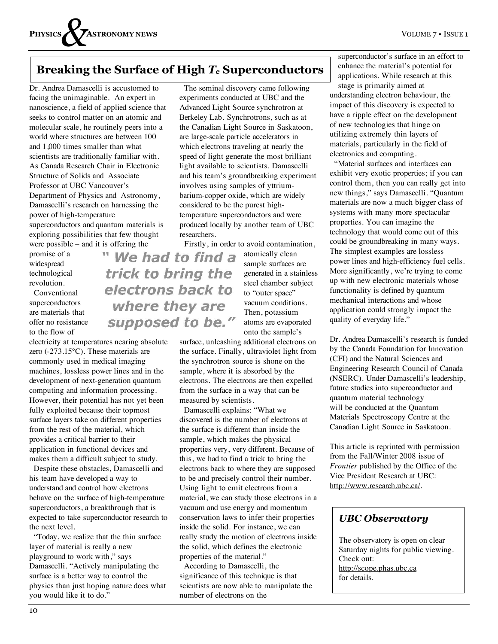## **Breaking the Surface of High** *Tc* **Superconductors**

Dr. Andrea Damascelli is accustomed to facing the unimaginable. An expert in nanoscience, a field of applied science that seeks to control matter on an atomic and molecular scale, he routinely peers into a world where structures are between 100 and 1,000 times smaller than what scientists are traditionally familiar with. As Canada Research Chair in Electronic Structure of Solids and Associate Professor at UBC Vancouver's Department of Physics and Astronomy, Damascelli's research on harnessing the power of high-temperature superconductors and quantum materials is exploring possibilities that few thought

were possible – and it is offering the promise of a widespread technological revolution.

 Conventional superconductors are materials that offer no resistance to the flow of

electricity at temperatures nearing absolute zero (-273.15°C). These materials are commonly used in medical imaging machines, lossless power lines and in the development of next-generation quantum computing and information processing. However, their potential has not yet been fully exploited because their topmost surface layers take on different properties from the rest of the material, which provides a critical barrier to their application in functional devices and makes them a difficult subject to study.

 Despite these obstacles, Damascelli and his team have developed a way to understand and control how electrons behave on the surface of high-temperature superconductors, a breakthrough that is expected to take superconductor research to the next level.

 "Today, we realize that the thin surface layer of material is really a new playground to work with," says Damascelli. "Actively manipulating the surface is a better way to control the physics than just hoping nature does what you would like it to do."

 The seminal discovery came following experiments conducted at UBC and the Advanced Light Source synchrotron at Berkeley Lab. Synchrotrons, such as at the Canadian Light Source in Saskatoon, are large-scale particle accelerators in which electrons traveling at nearly the speed of light generate the most brilliant light available to scientists. Damascelli and his team's groundbreaking experiment involves using samples of yttriumbarium-copper oxide, which are widely considered to be the purest hightemperature superconductors and were produced locally by another team of UBC researchers.

Firstly, in order to avoid contamination,

" We had to find a trick to bring the electrons back to where they are supposed to be."

atomically clean sample surfaces are generated in a stainless steel chamber subject to "outer space" vacuum conditions. Then, potassium atoms are evaporated onto the sample's

surface, unleashing additional electrons on the surface. Finally, ultraviolet light from the synchrotron source is shone on the sample, where it is absorbed by the electrons. The electrons are then expelled from the surface in a way that can be measured by scientists.

 Damascelli explains: "What we discovered is the number of electrons at the surface is different than inside the sample, which makes the physical properties very, very different. Because of this, we had to find a trick to bring the electrons back to where they are supposed to be and precisely control their number. Using light to emit electrons from a material, we can study those electrons in a vacuum and use energy and momentum conservation laws to infer their properties inside the solid. For instance, we can really study the motion of electrons inside the solid, which defines the electronic properties of the material."

 According to Damascelli, the significance of this technique is that scientists are now able to manipulate the number of electrons on the

superconductor's surface in an effort to enhance the material's potential for applications. While research at this stage is primarily aimed at understanding electron behaviour, the impact of this discovery is expected to have a ripple effect on the development of new technologies that hinge on utilizing extremely thin layers of materials, particularly in the field of electronics and computing.

 "Material surfaces and interfaces can exhibit very exotic properties; if you can control them, then you can really get into new things," says Damascelli. "Quantum materials are now a much bigger class of systems with many more spectacular properties. You can imagine the technology that would come out of this could be groundbreaking in many ways. The simplest examples are lossless power lines and high-efficiency fuel cells. More significantly, we're trying to come up with new electronic materials whose functionality is defined by quantum mechanical interactions and whose application could strongly impact the quality of everyday life."

Dr. Andrea Damascelli's research is funded by the Canada Foundation for Innovation (CFI) and the Natural Sciences and Engineering Research Council of Canada (NSERC). Under Damascelli's leadership, future studies into superconductor and quantum material technology will be conducted at the Quantum Materials Spectroscopy Centre at the Canadian Light Source in Saskatoon.

This article is reprinted with permission from the Fall/Winter 2008 issue of *Frontier* published by the Office of the Vice President Research at UBC: http://www.research.ubc.ca/.

## *UBC Observatory*

The observatory is open on clear Saturday nights for public viewing. Check out: http://scope.phas.ubc.ca for details.

10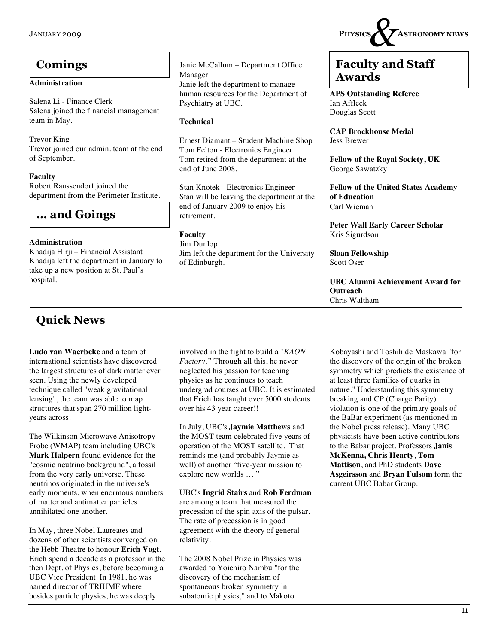#### **Administration**

Salena Li - Finance Clerk Salena joined the financial management team in May.

Trevor King Trevor joined our admin. team at the end of September.

#### **Faculty**

Robert Raussendorf joined the department from the Perimeter Institute.

## **… and Goings**

#### **Administration**

Khadija Hirji – Financial Assistant Khadija left the department in January to take up a new position at St. Paul's hospital.

## **Quick News**

**Ludo van Waerbeke** and a team of international scientists have discovered the largest structures of dark matter ever seen. Using the newly developed technique called "weak gravitational lensing", the team was able to map structures that span 270 million lightyears across.

The Wilkinson Microwave Anisotropy Probe (WMAP) team including UBC's **Mark Halpern** found evidence for the "cosmic neutrino background", a fossil from the very early universe. These neutrinos originated in the universe's early moments, when enormous numbers of matter and antimatter particles annihilated one another.

In May, three Nobel Laureates and dozens of other scientists converged on the Hebb Theatre to honour **Erich Vogt**. Erich spend a decade as a professor in the then Dept. of Physics, before becoming a UBC Vice President. In 1981, he was named director of TRIUMF where besides particle physics, he was deeply

involved in the fight to build a *"KAON Factory."* Through all this, he never neglected his passion for teaching physics as he continues to teach undergrad courses at UBC. It is estimated that Erich has taught over 5000 students over his 43 year career!!

Janie McCallum – Department Office

Janie left the department to manage human resources for the Department of

Ernest Diamant – Student Machine Shop Tom Felton - Electronics Engineer Tom retired from the department at the

Stan Knotek - Electronics Engineer Stan will be leaving the department at the

Jim left the department for the University

end of January 2009 to enjoy his

Manager

**Technical**

retirement.

of Edinburgh.

**Faculty** Jim Dunlop

Psychiatry at UBC.

end of June 2008.

In July, UBC's **Jaymie Matthews** and the MOST team celebrated five years of operation of the MOST satellite. That reminds me (and probably Jaymie as well) of another "five-year mission to explore new worlds … "

UBC's **Ingrid Stairs** and **Rob Ferdman** are among a team that measured the precession of the spin axis of the pulsar. The rate of precession is in good agreement with the theory of general relativity.

The 2008 Nobel Prize in Physics was awarded to Yoichiro Nambu "for the discovery of the mechanism of spontaneous broken symmetry in subatomic physics," and to Makoto

JANUARY 2009 **PHYSICS** *&* **ASTRONOMY NEWS**

## **Comings**  $\begin{array}{|c|c|c|c|} \hline \end{array}$  Janie McCallum – Department Office **Faculty and Staff Awards**

**APS Outstanding Referee** Ian Affleck Douglas Scott

**CAP Brockhouse Medal** Jess Brewer

**Fellow of the Royal Society, UK** George Sawatzky

**Fellow of the United States Academy of Education** Carl Wieman

**Peter Wall Early Career Scholar** Kris Sigurdson

**Sloan Fellowship** Scott Oser

**UBC Alumni Achievement Award for Outreach** Chris Waltham

Kobayashi and Toshihide Maskawa "for the discovery of the origin of the broken symmetry which predicts the existence of at least three families of quarks in nature." Understanding this symmetry breaking and CP (Charge Parity) violation is one of the primary goals of the BaBar experiment (as mentioned in the Nobel press release). Many UBC physicists have been active contributors to the Babar project. Professors **Janis McKenna, Chris Hearty**, **Tom Mattison**, and PhD students **Dave Asgeirsson** and **Bryan Fulsom** form the current UBC Babar Group.